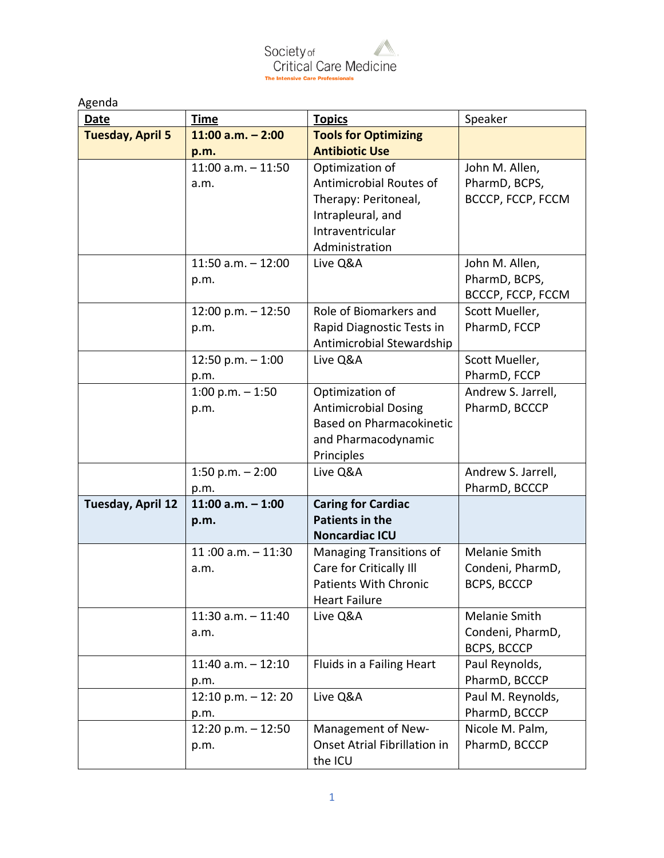Society of<br>Critical Care Medicine The Intensive Care Professionals

| Agenda                  |                             |                                 |                                     |
|-------------------------|-----------------------------|---------------------------------|-------------------------------------|
| <b>Date</b>             | <b>Time</b>                 | <b>Topics</b>                   | Speaker                             |
| <b>Tuesday, April 5</b> | $11:00$ a.m. $-2:00$        | <b>Tools for Optimizing</b>     |                                     |
|                         | p.m.                        | <b>Antibiotic Use</b>           |                                     |
|                         | $11:00$ a.m. $-11:50$       | Optimization of                 | John M. Allen,                      |
|                         | a.m.                        | Antimicrobial Routes of         | PharmD, BCPS,                       |
|                         |                             | Therapy: Peritoneal,            | BCCCP, FCCP, FCCM                   |
|                         |                             | Intrapleural, and               |                                     |
|                         |                             | Intraventricular                |                                     |
|                         |                             | Administration                  |                                     |
|                         | 11:50 $a.m. - 12:00$        | Live Q&A                        | John M. Allen,                      |
|                         | p.m.                        |                                 | PharmD, BCPS,                       |
|                         |                             |                                 | BCCCP, FCCP, FCCM                   |
|                         | 12:00 p.m. - 12:50          | Role of Biomarkers and          | Scott Mueller,                      |
|                         | p.m.                        | Rapid Diagnostic Tests in       | PharmD, FCCP                        |
|                         |                             | Antimicrobial Stewardship       |                                     |
|                         | 12:50 p.m. $-1:00$          | Live Q&A                        | Scott Mueller,                      |
|                         | p.m.                        |                                 | PharmD, FCCP                        |
|                         | 1:00 p.m. $-1:50$           | Optimization of                 | Andrew S. Jarrell,                  |
|                         | p.m.                        | <b>Antimicrobial Dosing</b>     | PharmD, BCCCP                       |
|                         |                             | <b>Based on Pharmacokinetic</b> |                                     |
|                         |                             | and Pharmacodynamic             |                                     |
|                         |                             | Principles                      |                                     |
|                         | 1:50 p.m. $- 2:00$          | Live Q&A                        | Andrew S. Jarrell,<br>PharmD, BCCCP |
| Tuesday, April 12       | p.m.<br>11:00 $a.m. - 1:00$ | <b>Caring for Cardiac</b>       |                                     |
|                         |                             | <b>Patients in the</b>          |                                     |
|                         | p.m.                        | <b>Noncardiac ICU</b>           |                                     |
|                         | 11:00 $a.m. - 11:30$        | Managing Transitions of         | Melanie Smith                       |
|                         | a.m.                        | Care for Critically III         | Condeni, PharmD,                    |
|                         |                             | Patients With Chronic           | BCPS, BCCCP                         |
|                         |                             | <b>Heart Failure</b>            |                                     |
|                         | $11:30$ a.m. $-11:40$       | Live Q&A                        | Melanie Smith                       |
|                         | a.m.                        |                                 | Condeni, PharmD,                    |
|                         |                             |                                 | BCPS, BCCCP                         |
|                         | $11:40$ a.m. $-12:10$       | Fluids in a Failing Heart       | Paul Reynolds,                      |
|                         | p.m.                        |                                 | PharmD, BCCCP                       |
|                         | 12:10 p.m. $-$ 12: 20       | Live Q&A                        | Paul M. Reynolds,                   |
|                         | p.m.                        |                                 | PharmD, BCCCP                       |
|                         | 12:20 p.m. $- 12:50$        | Management of New-              | Nicole M. Palm,                     |
|                         | p.m.                        | Onset Atrial Fibrillation in    | PharmD, BCCCP                       |
|                         |                             | the ICU                         |                                     |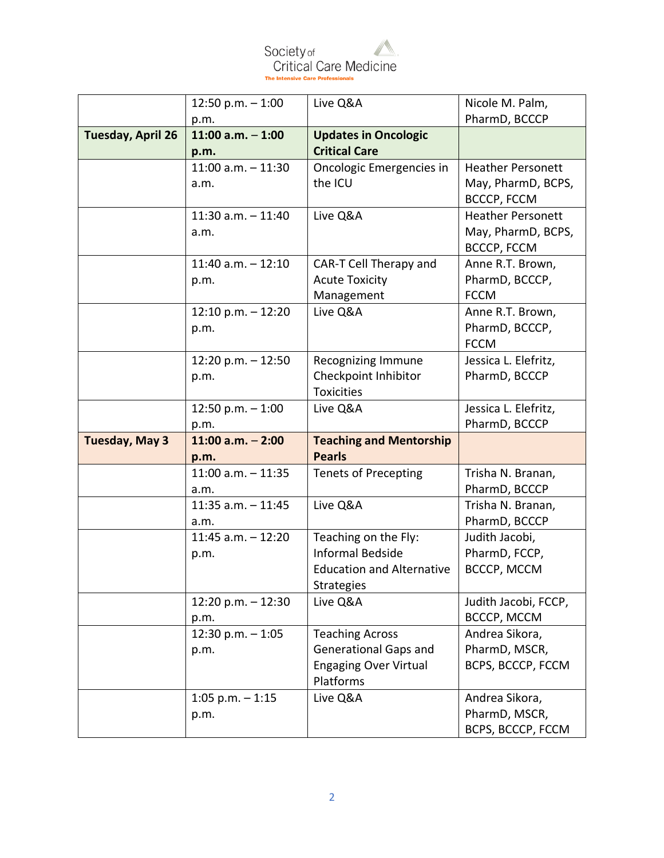

|                          | $12:50 p.m. - 1:00$   | Live Q&A                                  | Nicole M. Palm,          |
|--------------------------|-----------------------|-------------------------------------------|--------------------------|
|                          | p.m.                  |                                           | PharmD, BCCCP            |
| <b>Tuesday, April 26</b> | 11:00 a.m. $-1:00$    | <b>Updates in Oncologic</b>               |                          |
|                          | p.m.                  | <b>Critical Care</b>                      |                          |
|                          | $11:00$ a.m. $-11:30$ | Oncologic Emergencies in                  | <b>Heather Personett</b> |
|                          | a.m.                  | the ICU                                   | May, PharmD, BCPS,       |
|                          |                       |                                           | BCCCP, FCCM              |
|                          | $11:30$ a.m. $-11:40$ | Live Q&A                                  | <b>Heather Personett</b> |
|                          | a.m.                  |                                           | May, PharmD, BCPS,       |
|                          |                       |                                           | BCCCP, FCCM              |
|                          | $11:40$ a.m. $-12:10$ | CAR-T Cell Therapy and                    | Anne R.T. Brown,         |
|                          | p.m.                  | <b>Acute Toxicity</b>                     | PharmD, BCCCP,           |
|                          |                       | Management                                | <b>FCCM</b>              |
|                          | 12:10 p.m. $-12:20$   | Live Q&A                                  | Anne R.T. Brown,         |
|                          | p.m.                  |                                           | PharmD, BCCCP,           |
|                          |                       |                                           | <b>FCCM</b>              |
|                          | 12:20 p.m. $-$ 12:50  | Recognizing Immune                        | Jessica L. Elefritz,     |
|                          | p.m.                  | Checkpoint Inhibitor                      | PharmD, BCCCP            |
|                          |                       | <b>Toxicities</b>                         |                          |
|                          | 12:50 p.m. $-1:00$    | Live Q&A                                  | Jessica L. Elefritz,     |
|                          |                       |                                           |                          |
|                          | p.m.                  |                                           | PharmD, BCCCP            |
| <b>Tuesday, May 3</b>    | $11:00$ a.m. $-2:00$  | <b>Teaching and Mentorship</b>            |                          |
|                          | p.m.                  | <b>Pearls</b>                             |                          |
|                          | $11:00$ a.m. $-11:35$ | <b>Tenets of Precepting</b>               | Trisha N. Branan,        |
|                          | a.m.                  |                                           | PharmD, BCCCP            |
|                          | $11:35$ a.m. $-11:45$ | Live Q&A                                  | Trisha N. Branan,        |
|                          | a.m.                  |                                           | PharmD, BCCCP            |
|                          | $11:45$ a.m. $-12:20$ | Teaching on the Fly:                      | Judith Jacobi,           |
|                          | p.m.                  | <b>Informal Bedside</b>                   | PharmD, FCCP,            |
|                          |                       | <b>Education and Alternative</b>          | BCCCP, MCCM              |
|                          |                       | <b>Strategies</b>                         |                          |
|                          | 12:20 p.m. $- 12:30$  | Live Q&A                                  | Judith Jacobi, FCCP,     |
|                          | p.m.                  |                                           | <b>BCCCP, MCCM</b>       |
|                          | 12:30 p.m. $-1:05$    | <b>Teaching Across</b>                    | Andrea Sikora,           |
|                          | p.m.                  | <b>Generational Gaps and</b>              | PharmD, MSCR,            |
|                          |                       | <b>Engaging Over Virtual</b><br>Platforms | BCPS, BCCCP, FCCM        |
|                          | $1:05$ p.m. $-1:15$   | Live Q&A                                  | Andrea Sikora,           |
|                          | p.m.                  |                                           | PharmD, MSCR,            |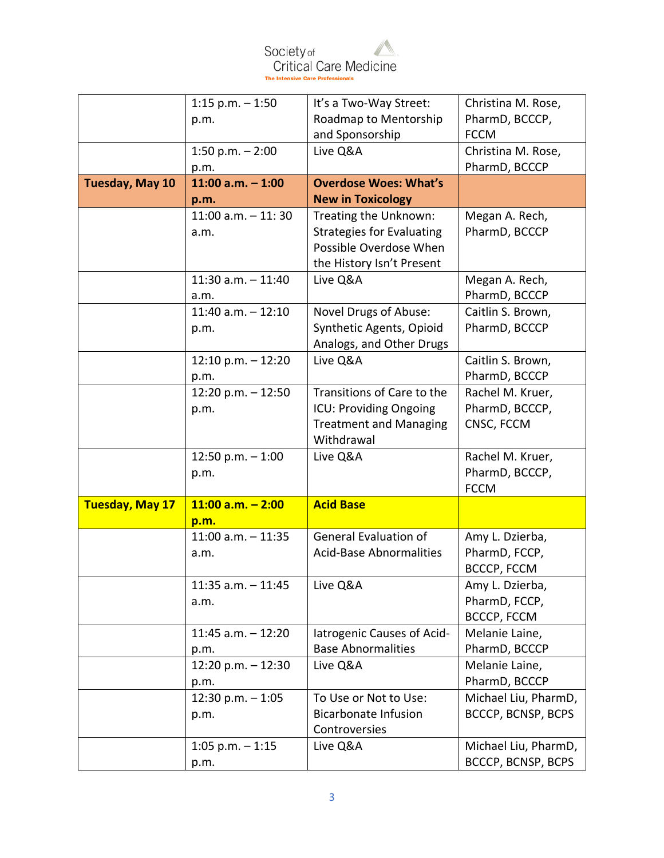

|                        | $1:15$ p.m. $-1:50$         | It's a Two-Way Street:           | Christina M. Rose,                         |
|------------------------|-----------------------------|----------------------------------|--------------------------------------------|
|                        | p.m.                        | Roadmap to Mentorship            | PharmD, BCCCP,                             |
|                        |                             | and Sponsorship                  | <b>FCCM</b>                                |
|                        | 1:50 p.m. $- 2:00$          | Live Q&A                         | Christina M. Rose,                         |
|                        | p.m.                        |                                  | PharmD, BCCCP                              |
| Tuesday, May 10        | 11:00 a.m. $-1:00$          | <b>Overdose Woes: What's</b>     |                                            |
|                        | p.m.                        | <b>New in Toxicology</b>         |                                            |
|                        | $11:00$ a.m. $-11:30$       | Treating the Unknown:            | Megan A. Rech,                             |
|                        | a.m.                        | <b>Strategies for Evaluating</b> | PharmD, BCCCP                              |
|                        |                             | Possible Overdose When           |                                            |
|                        |                             | the History Isn't Present        |                                            |
|                        | $11:30$ a.m. $-11:40$       | Live Q&A                         | Megan A. Rech,                             |
|                        | a.m.                        |                                  | PharmD, BCCCP                              |
|                        | $11:40$ a.m. $-12:10$       | Novel Drugs of Abuse:            | Caitlin S. Brown,                          |
|                        | p.m.                        | Synthetic Agents, Opioid         | PharmD, BCCCP                              |
|                        |                             | Analogs, and Other Drugs         |                                            |
|                        | $12:10$ p.m. $-12:20$       | Live Q&A                         | Caitlin S. Brown,                          |
|                        | p.m.                        |                                  | PharmD, BCCCP                              |
|                        | 12:20 p.m. - 12:50          | Transitions of Care to the       | Rachel M. Kruer,                           |
|                        | p.m.                        | ICU: Providing Ongoing           | PharmD, BCCCP,                             |
|                        |                             | <b>Treatment and Managing</b>    | CNSC, FCCM                                 |
|                        |                             | Withdrawal                       |                                            |
|                        | $12:50 p.m. - 1:00$         | Live Q&A                         | Rachel M. Kruer,                           |
|                        | p.m.                        |                                  | PharmD, BCCCP,                             |
|                        |                             |                                  | <b>FCCM</b>                                |
| <b>Tuesday, May 17</b> | $11:00$ a.m. $- 2:00$       | <b>Acid Base</b>                 |                                            |
|                        | p.m.                        |                                  |                                            |
|                        | $11:00$ a.m. $-11:35$       | <b>General Evaluation of</b>     | Amy L. Dzierba,                            |
|                        | a.m.                        | <b>Acid-Base Abnormalities</b>   | PharmD, FCCP,                              |
|                        |                             |                                  | BCCCP, FCCM                                |
|                        | $11:35$ a.m. $-11:45$       | Live Q&A                         | Amy L. Dzierba,                            |
|                        | a.m.                        |                                  | PharmD, FCCP,                              |
|                        |                             |                                  | BCCCP, FCCM                                |
|                        | $11:45$ a.m. $-12:20$       | latrogenic Causes of Acid-       | Melanie Laine,                             |
|                        | p.m.                        | <b>Base Abnormalities</b>        | PharmD, BCCCP                              |
|                        | 12:20 p.m. $- 12:30$        | Live Q&A                         | Melanie Laine,                             |
|                        | p.m.                        |                                  | PharmD, BCCCP                              |
|                        | 12:30 p.m. $-1:05$          | To Use or Not to Use:            | Michael Liu, PharmD,                       |
|                        | p.m.                        | <b>Bicarbonate Infusion</b>      | BCCCP, BCNSP, BCPS                         |
|                        |                             |                                  |                                            |
|                        |                             | Controversies                    |                                            |
|                        | $1:05$ p.m. $-1:15$<br>p.m. | Live Q&A                         | Michael Liu, PharmD,<br>BCCCP, BCNSP, BCPS |